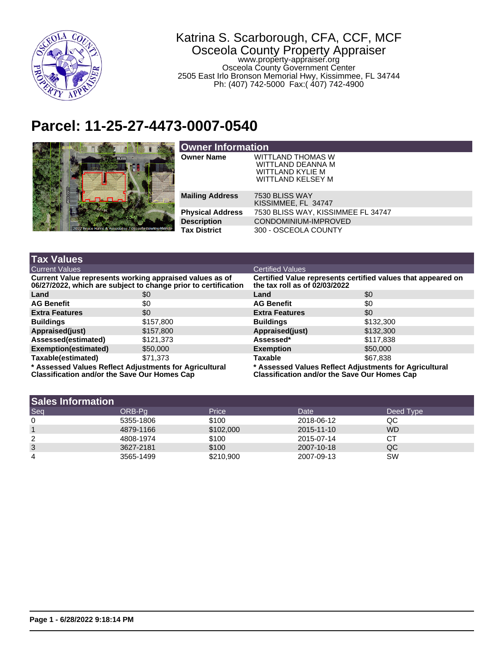

## Katrina S. Scarborough, CFA, CCF, MCF Osceola County Property Appraiser www.property-appraiser.org Osceola County Government Center 2505 East Irlo Bronson Memorial Hwy, Kissimmee, FL 34744 Ph: (407) 742-5000 Fax:( 407) 742-4900

## **Parcel: 11-25-27-4473-0007-0540**



| <b>Owner Information</b> |                                                                                        |  |  |  |
|--------------------------|----------------------------------------------------------------------------------------|--|--|--|
| <b>Owner Name</b>        | <b>WITTLAND THOMAS W</b><br>WITTLAND DEANNA M<br>WITTLAND KYLIE M<br>WITTLAND KELSEY M |  |  |  |
| <b>Mailing Address</b>   | 7530 BLISS WAY<br>KISSIMMEE, FL 34747                                                  |  |  |  |
| <b>Physical Address</b>  | 7530 BLISS WAY, KISSIMMEE FL 34747                                                     |  |  |  |
| <b>Description</b>       | CONDOMINIUM-IMPROVED                                                                   |  |  |  |
| <b>Tax District</b>      | 300 - OSCEOLA COUNTY                                                                   |  |  |  |

| <b>Tax Values</b>                                                                                                         |           |                                                                                                               |           |  |
|---------------------------------------------------------------------------------------------------------------------------|-----------|---------------------------------------------------------------------------------------------------------------|-----------|--|
| <b>Current Values</b>                                                                                                     |           | <b>Certified Values</b>                                                                                       |           |  |
| Current Value represents working appraised values as of<br>06/27/2022, which are subject to change prior to certification |           | Certified Value represents certified values that appeared on<br>the tax roll as of $02/03/2022$               |           |  |
| Land                                                                                                                      | \$0       | Land                                                                                                          | \$0       |  |
| <b>AG Benefit</b>                                                                                                         | \$0       | <b>AG Benefit</b>                                                                                             | \$0       |  |
| <b>Extra Features</b>                                                                                                     | \$0       | <b>Extra Features</b>                                                                                         | \$0       |  |
| <b>Buildings</b>                                                                                                          | \$157,800 | <b>Buildings</b>                                                                                              | \$132,300 |  |
| Appraised(just)                                                                                                           | \$157,800 | Appraised(just)                                                                                               | \$132,300 |  |
| Assessed(estimated)                                                                                                       | \$121,373 | Assessed*                                                                                                     | \$117,838 |  |
| <b>Exemption(estimated)</b>                                                                                               | \$50,000  | <b>Exemption</b>                                                                                              | \$50,000  |  |
| Taxable(estimated)                                                                                                        | \$71.373  | <b>Taxable</b>                                                                                                | \$67.838  |  |
| * Assessed Values Reflect Adjustments for Agricultural<br><b>Classification and/or the Save Our Homes Cap</b>             |           | * Assessed Values Reflect Adjustments for Agricultural<br><b>Classification and/or the Save Our Homes Cap</b> |           |  |

| <b>Sales Information</b> |           |           |            |           |  |  |  |  |
|--------------------------|-----------|-----------|------------|-----------|--|--|--|--|
| Seq                      | ORB-Pa    | Price     | Date       | Deed Type |  |  |  |  |
| $\mathbf{0}$             | 5355-1806 | \$100     | 2018-06-12 | QC        |  |  |  |  |
|                          | 4879-1166 | \$102,000 | 2015-11-10 | <b>WD</b> |  |  |  |  |
| 2                        | 4808-1974 | \$100     | 2015-07-14 | CТ        |  |  |  |  |
| 3                        | 3627-2181 | \$100     | 2007-10-18 | QC        |  |  |  |  |
| 4                        | 3565-1499 | \$210,900 | 2007-09-13 | SW        |  |  |  |  |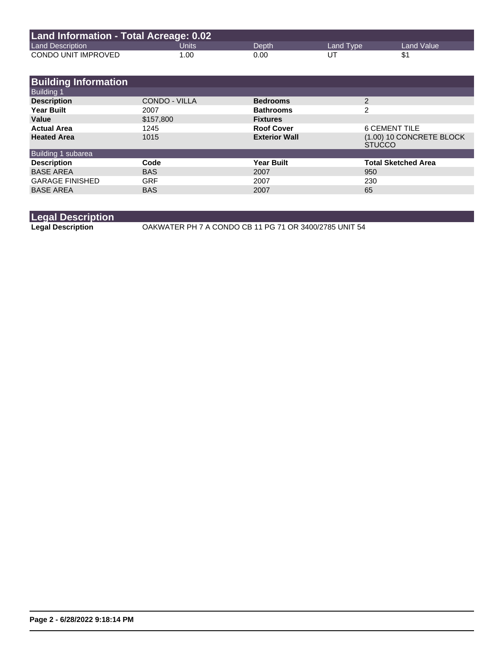| Land Information - Total Acreage: 0.02 |       |       |           |              |  |  |  |
|----------------------------------------|-------|-------|-----------|--------------|--|--|--|
| <b>Land Description</b>                | Units | Depth | Land Type | Land Value \ |  |  |  |
| CONDO UNIT IMPROVED                    | 1.00  | 0.00  | UT        |              |  |  |  |

| 6 CEMENT TILE                             |
|-------------------------------------------|
| (1.00) 10 CONCRETE BLOCK<br><b>STUCCO</b> |
|                                           |
| <b>Total Sketched Area</b>                |
|                                           |
|                                           |
|                                           |
|                                           |

## **Legal Description**

**Legal Description** OAKWATER PH 7 A CONDO CB 11 PG 71 OR 3400/2785 UNIT 54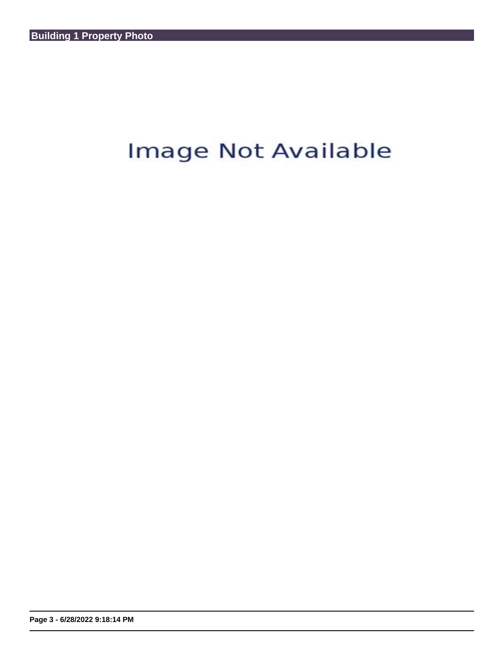## Image Not Available